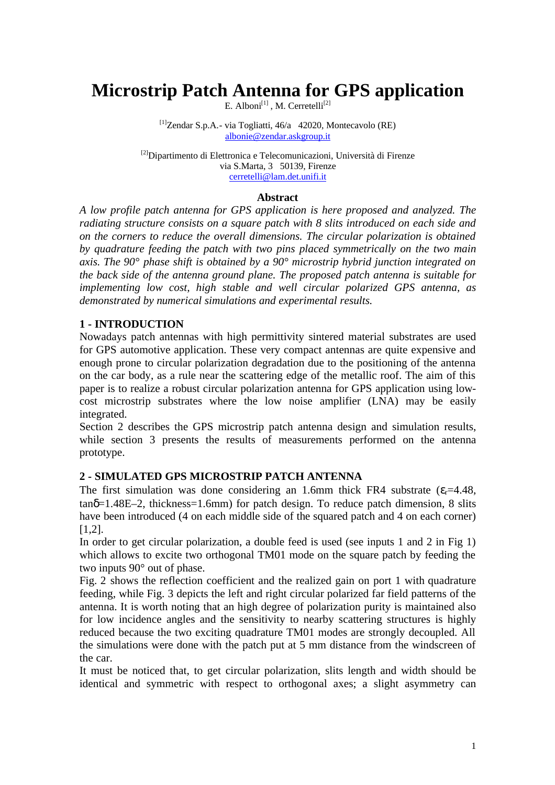# **Microstrip Patch Antenna for GPS application**

E. Alboni $^{[1]}$ , M. Cerretelli $^{[2]}$ 

 $\left[1\right]$ Zendar S.p.A.- via Togliatti, 46/a 42020, Montecavolo (RE) albonie@zendar.askgroup.it

[2]Dipartimento di Elettronica e Telecomunicazioni, Università di Firenze via S.Marta, 3 50139, Firenze cerretelli@lam.det.unifi.it

### **Abstract**

*A low profile patch antenna for GPS application is here proposed and analyzed. The radiating structure consists on a square patch with 8 slits introduced on each side and on the corners to reduce the overall dimensions. The circular polarization is obtained by quadrature feeding the patch with two pins placed symmetrically on the two main axis. The 90° phase shift is obtained by a 90° microstrip hybrid junction integrated on the back side of the antenna ground plane. The proposed patch antenna is suitable for implementing low cost, high stable and well circular polarized GPS antenna, as demonstrated by numerical simulations and experimental results.* 

# **1 - INTRODUCTION**

Nowadays patch antennas with high permittivity sintered material substrates are used for GPS automotive application. These very compact antennas are quite expensive and enough prone to circular polarization degradation due to the positioning of the antenna on the car body, as a rule near the scattering edge of the metallic roof. The aim of this paper is to realize a robust circular polarization antenna for GPS application using lowcost microstrip substrates where the low noise amplifier (LNA) may be easily integrated.

Section 2 describes the GPS microstrip patch antenna design and simulation results, while section 3 presents the results of measurements performed on the antenna prototype.

# **2 - SIMULATED GPS MICROSTRIP PATCH ANTENNA**

The first simulation was done considering an 1.6mm thick FR4 substrate  $(\epsilon = 4.48$ ,  $tan\delta=1.48E-2$ , thickness=1.6mm) for patch design. To reduce patch dimension, 8 slits have been introduced (4 on each middle side of the squared patch and 4 on each corner) [1,2].

In order to get circular polarization, a double feed is used (see inputs 1 and 2 in Fig 1) which allows to excite two orthogonal TM01 mode on the square patch by feeding the two inputs 90° out of phase.

Fig. 2 shows the reflection coefficient and the realized gain on port 1 with quadrature feeding, while Fig. 3 depicts the left and right circular polarized far field patterns of the antenna. It is worth noting that an high degree of polarization purity is maintained also for low incidence angles and the sensitivity to nearby scattering structures is highly reduced because the two exciting quadrature TM01 modes are strongly decoupled. All the simulations were done with the patch put at 5 mm distance from the windscreen of the car.

It must be noticed that, to get circular polarization, slits length and width should be identical and symmetric with respect to orthogonal axes; a slight asymmetry can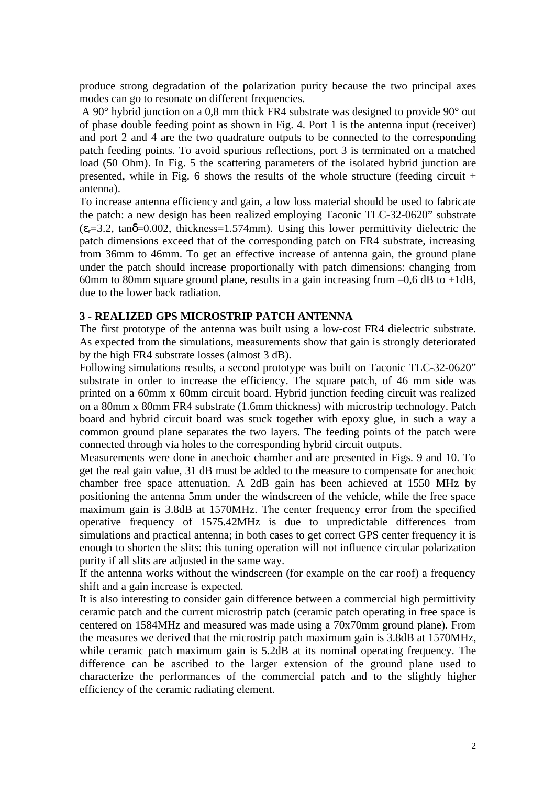produce strong degradation of the polarization purity because the two principal axes modes can go to resonate on different frequencies.

A 90° hybrid junction on a 0,8 mm thick FR4 substrate was designed to provide 90° out of phase double feeding point as shown in Fig. 4. Port 1 is the antenna input (receiver) and port 2 and 4 are the two quadrature outputs to be connected to the corresponding patch feeding points. To avoid spurious reflections, port 3 is terminated on a matched load (50 Ohm). In Fig. 5 the scattering parameters of the isolated hybrid junction are presented, while in Fig. 6 shows the results of the whole structure (feeding circuit  $+$ antenna).

To increase antenna efficiency and gain, a low loss material should be used to fabricate the patch: a new design has been realized employing Taconic TLC-32-0620" substrate  $(\epsilon_{r}=3.2, \tan\delta=0.002, \text{ thickness}=1.574 \text{mm})$ . Using this lower permittivity dielectric the patch dimensions exceed that of the corresponding patch on FR4 substrate, increasing from 36mm to 46mm. To get an effective increase of antenna gain, the ground plane under the patch should increase proportionally with patch dimensions: changing from 60mm to 80mm square ground plane, results in a gain increasing from  $-0.6$  dB to  $+1$ dB, due to the lower back radiation.

#### **3 - REALIZED GPS MICROSTRIP PATCH ANTENNA**

The first prototype of the antenna was built using a low-cost FR4 dielectric substrate. As expected from the simulations, measurements show that gain is strongly deteriorated by the high FR4 substrate losses (almost 3 dB).

Following simulations results, a second prototype was built on Taconic TLC-32-0620" substrate in order to increase the efficiency. The square patch, of 46 mm side was printed on a 60mm x 60mm circuit board. Hybrid junction feeding circuit was realized on a 80mm x 80mm FR4 substrate (1.6mm thickness) with microstrip technology. Patch board and hybrid circuit board was stuck together with epoxy glue, in such a way a common ground plane separates the two layers. The feeding points of the patch were connected through via holes to the corresponding hybrid circuit outputs.

Measurements were done in anechoic chamber and are presented in Figs. 9 and 10. To get the real gain value, 31 dB must be added to the measure to compensate for anechoic chamber free space attenuation. A 2dB gain has been achieved at 1550 MHz by positioning the antenna 5mm under the windscreen of the vehicle, while the free space maximum gain is 3.8dB at 1570MHz. The center frequency error from the specified operative frequency of 1575.42MHz is due to unpredictable differences from simulations and practical antenna; in both cases to get correct GPS center frequency it is enough to shorten the slits: this tuning operation will not influence circular polarization purity if all slits are adjusted in the same way.

If the antenna works without the windscreen (for example on the car roof) a frequency shift and a gain increase is expected.

It is also interesting to consider gain difference between a commercial high permittivity ceramic patch and the current microstrip patch (ceramic patch operating in free space is centered on 1584MHz and measured was made using a 70x70mm ground plane). From the measures we derived that the microstrip patch maximum gain is 3.8dB at 1570MHz, while ceramic patch maximum gain is 5.2dB at its nominal operating frequency. The difference can be ascribed to the larger extension of the ground plane used to characterize the performances of the commercial patch and to the slightly higher efficiency of the ceramic radiating element.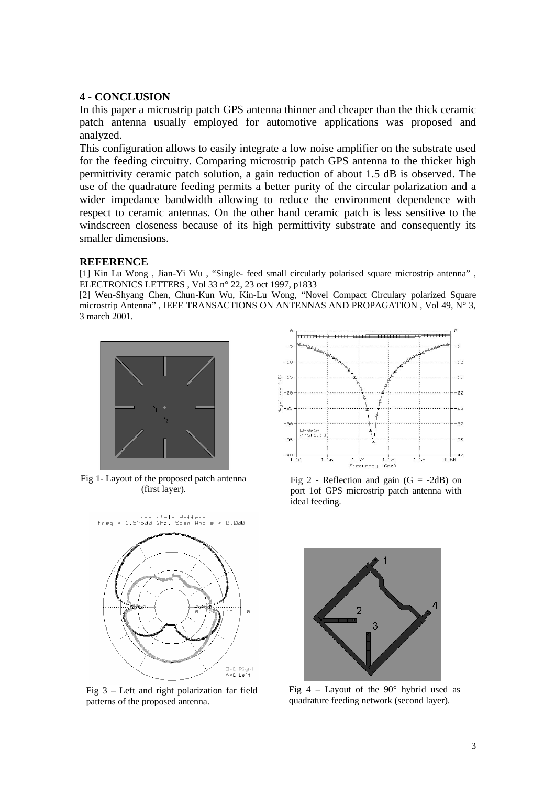#### **4 - CONCLUSION**

In this paper a microstrip patch GPS antenna thinner and cheaper than the thick ceramic patch antenna usually employed for automotive applications was proposed and analyzed.

This configuration allows to easily integrate a low noise amplifier on the substrate used for the feeding circuitry. Comparing microstrip patch GPS antenna to the thicker high permittivity ceramic patch solution, a gain reduction of about 1.5 dB is observed. The use of the quadrature feeding permits a better purity of the circular polarization and a wider impedance bandwidth allowing to reduce the environment dependence with respect to ceramic antennas. On the other hand ceramic patch is less sensitive to the windscreen closeness because of its high permittivity substrate and consequently its smaller dimensions.

#### **REFERENCE**

[1] Kin Lu Wong , Jian-Yi Wu , "Single- feed small circularly polarised square microstrip antenna" , ELECTRONICS LETTERS , Vol 33 n° 22, 23 oct 1997, p1833

[2] Wen-Shyang Chen, Chun-Kun Wu, Kin-Lu Wong, "Novel Compact Circulary polarized Square microstrip Antenna" , IEEE TRANSACTIONS ON ANTENNAS AND PROPAGATION , Vol 49, N° 3, 3 march 2001.



Fig 1- Layout of the proposed patch antenna (first layer).



Fig 3 – Left and right polarization far field patterns of the proposed antenna.



Fig 2 - Reflection and gain  $(G = -2dB)$  on port 1of GPS microstrip patch antenna with ideal feeding.



Fig  $4$  – Layout of the 90 $\degree$  hybrid used as quadrature feeding network (second layer).